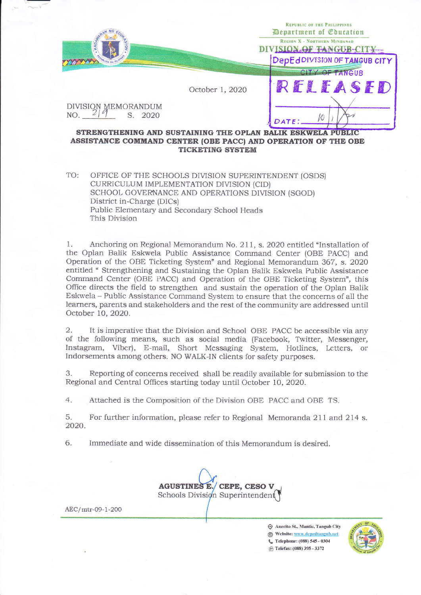|                                       |                 | REPUBLIC OF THE PHILIPPINES<br>Department of Coucation         |  |
|---------------------------------------|-----------------|----------------------------------------------------------------|--|
| KAG                                   |                 | <b>REGION X - NORTHERN MINDANAO</b><br>DIVISION OF TANGUB-CITY |  |
|                                       |                 | DepEdDIVISION OF TANGUB CITY                                   |  |
|                                       |                 | CITY OF TANGUB                                                 |  |
|                                       | October 1, 2020 | RELEASED                                                       |  |
| DIVISION MEMORANDUM<br>NO.<br>S. 2020 |                 |                                                                |  |
|                                       |                 | Й                                                              |  |

## STRENGTHENING AND SUSTAINING THE OPLAN BALIK ESKWELA PUBLIC ASSISTANCE COMMAND CENTER (OBE PACC) AND OPERATION OF THE OBE **TICKETING SYSTEM**

TO: OFFICE OF THE SCHOOLS DIVISION SUPERINTENDENT (OSDS) CURRICULUM IMPLEMENTATION DIVISION (CID) SCHOOL GOVERNANCE AND OPERATIONS DIVISION (SGOD) District in-Charge (DICs) Public Elementary and Secondary School Heads This Division

1. Anchoring on Regional Memorandum No. 211, s. 2020 entitled "Installation of the Oplan Balik Eskwela Public Assistance Command Center (OBE PACC) and Operation of the OBE Ticketing System" and Regional Memorandum 367, s. 2020 entitled "Strengthening and Sustaining the Oplan Balik Eskwela Public Assistance Command Center (OBE PACC) and Operation of the OBE Ticketing System", this Office directs the field to strengthen and sustain the operation of the Oplan Balik Eskwela – Public Assistance Command System to ensure that the concerns of all the learners, parents and stakeholders and the rest of the community are addressed until October 10, 2020.

It is imperative that the Division and School OBE PACC be accessible via any  $\overline{2}$ . of the following means, such as social media (Facebook, Twitter, Messenger, Instagram, Viber), E-mail, Short Messaging System, Hotlines, Letters, or Indorsements among others. NO WALK-IN clients for safety purposes.

3. Reporting of concerns received shall be readily available for submission to the Regional and Central Offices starting today until October 10, 2020.

4. Attached is the Composition of the Division OBE PACC and OBE TS.

5. For further information, please refer to Regional Memoranda 211 and 214 s. 2020.

6. Immediate and wide dissemination of this Memorandum is desired.

AGUSTINES E. CEPE, CESO V Schools Division Superintendent

AEC/mtr-09-1-200